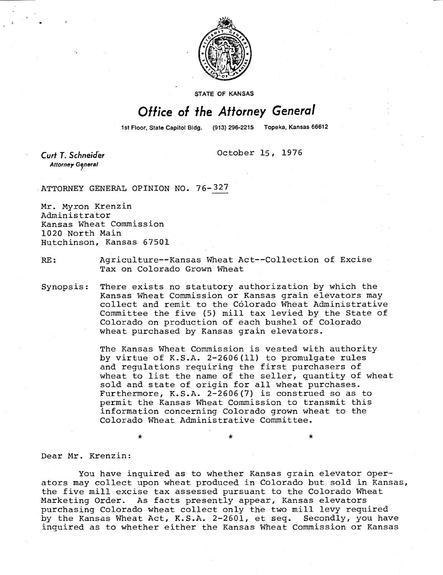

**STATE OF KANSAS** 

## Office of the Attorney General

1st Floor, State Capitol Bldg. (913) 296-2215 Topeka, Kansas 66612

Curt T. Schneider **Attorney General** 

October 15, 1976

ATTORNEY GENERAL OPINION NO. 76-327

Mr. Myron Krenzin Administrator Kansas Wheat Commission 1020 North Main Hutchinson, Kansas 67501

RE: Agriculture--Kansas Wheat Act--Collection of Excise Tax on Colorado Grown Wheat

Synopsis: There exists no statutory authorization by which the Kansas Wheat Commission or Kansas grain elevators may collect and remit to the Colorado Wheat Administrative Committee the five (5) mill tax levied by the State of Colorado on production of each bushel of Colorado wheat purchased by Kansas grain elevators.

> The Kansas Wheat Commission is vested with authority by virtue of K.S.A. 2-2606(11) to promulgate rules and regulations requiring the first purchasers of wheat to list the name of the seller, quantity of wheat sold and state of origin for all wheat purchases. Furthermore, K.S.A. 2-2606(7) is construed so as to permit the Kansas Wheat Commission to transmit this information concerning Colorado grown wheat to the Colorado Wheat Administrative Committee.

Dear Mr. Krenzin:

You have inquired as to whether Kansas grain elevator operators may collect upon wheat produced in Colorado but sold in Kansas, the five mill excise tax assessed pursuant to the Colorado Wheat Marketing Order. As facts presently appear, Kansas elevators purchasing Colorado wheat collect only the two mill levy required by the Kansas Wheat Act, K.S.A. 2-2601, et seq. Secondly, you have inquired as to whether either the Kansas Wheat Commission or Kansas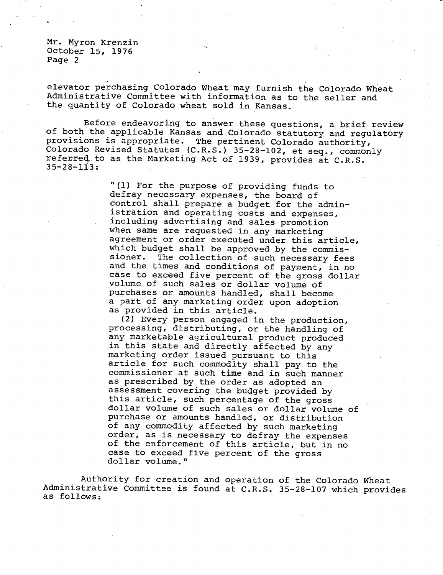elevator perchasing Colorado Wheat may furnish the Colorado Wheat Administrative Committee with information as to the seller and the quantity of Colorado wheat sold in Kansas.

Before endeavoring to answer these questions, a brief review of both the applicable Kansas and Colorado statutory and regulatory provisions is appropriate. The pertinent Colorado authority, Colorado Revised Statutes (C.R.S.) 35-28-102, et seq., commonly referred to as the Marketing Act of 1939, provides at C.R.S. 35-28-113:

> "(1) For the purpose of providing funds to defray necessary expenses, the board of control shall prepare a budget for the administration and operating costs and expenses, including advertising and sales promotion when same are requested in any marketing agreement or order executed under this article, which budget shall be approved by the commissioner. The collection of such necessary fees and the times and conditions of payment, in no case to exceed five percent of the gross dollar volume of such sales or dollar volume of purchases or amounts handled, shall become a part of any marketing order upon adoption as provided in this article.

> (2) Every person engaged in the production, processing, distributing, or the handling of any marketable agricultural product produced in this state and directly affected by any marketing order issued pursuant to this article for such commodity shall pay to the commissioner at such time and in such manner as prescribed by the order as adopted an assessment covering the budget provided by this article, such percentage of the gross dollar volume of such sales or dollar volume of purchase or amounts handled, or distribution of any commodity affected by such marketing order, as is necessary to defray the expenses of the enforcement of this article, but in no case to exceed five percent of the gross dollar volume."

Authority for creation and operation of the Colorado Wheat Administrative Committee is found at C.R.S. 35-28-107 which provides as follows: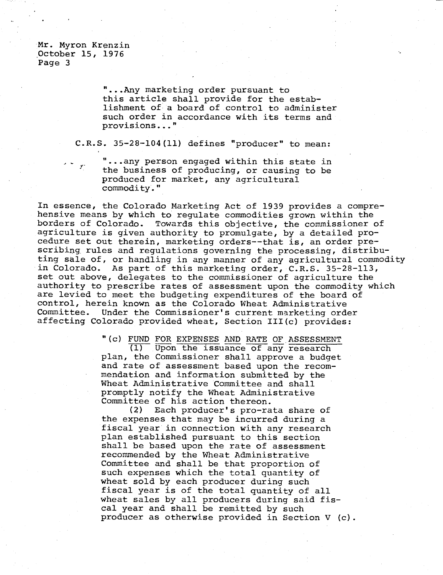> " ...Any marketing order pursuant to this article shall provide for the establishment of a board of control to administer such order in accordance with its terms and provisions..."

C.R.S. 35-28-104(11) defines "producer" to mean:

" ...any person engaged within this state in the business of producing, or causing to be produced for market, any agricultural commodity."

In essence, the Colorado Marketing Act of 1939 provides a comprehensive means by which to regulate commodities grown within the borders of Colorado. Towards this objective, the commissioner of agriculture is given authority to promulgate, by a detailed procedure set out therein, marketing orders--that is, an order prescribing rules and regulations governing the processing, distributing sale of, or handling in any manner of any agricultural commodity in Colorado. As part of this marketing order, C.R.S. 35-28-113, set out above, delegates to the commissioner of agriculture the authority to prescribe rates of assessment upon the commodity which are levied to meet the budgeting expenditures of the board of control, herein known as the Colorado Wheat Administrative Committee. Under the Commissioner's current marketing order affecting Colorado provided wheat, Section III(c) provides:

"(c) FUND FOR EXPENSES AND RATE OF ASSESSMENT

(1) Upon the issuance of any research plan, the Commissioner shall approve a budget and rate of assessment based upon the recommendation and information submitted by the Wheat Administrative Committee and shall promptly notify the Wheat Administrative Committee of his action thereon.

(2) Each producer's pro-rata share of the expenses that may be incurred during a fiscal year in connection with any research plan established pursuant to this section shall be based upon the rate of assessment recommended by the Wheat Administrative Committee and shall be that proportion of such expenses which the total quantity of wheat sold by each producer during such fiscal year is of the total quantity of all wheat sales by all producers during said fiscal year and shall be remitted by such producer as otherwise provided in Section V (c).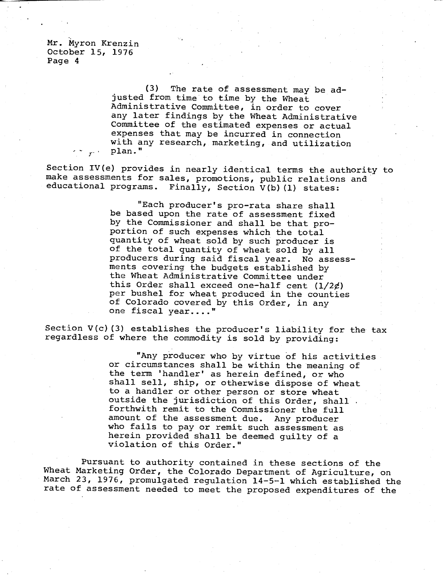> (3) The rate of assessment may be adjusted from time to time by the Wheat Administrative Committee, in order to cover any later findings by the Wheat Administrative Committee of the estimated expenses or actual expenses that may be incurred in connection with any research, marketing, and utilization plan."

Section IV(e) provides in nearly identical terms the authority to make assessments for sales, promotions, public relations and educational programs. Finally, Section V(b)(1) states:

> "Each producer's pro-rata share shall be based upon the rate of assessment fixed by the Commissioner and shall be that proportion of such expenses which the total quantity of wheat sold by such producer is of the total quantity of wheat sold by all producers during said fiscal year. No assessments covering the budgets established by the Wheat Administrative Committee under this Order shall exceed one-half cent  $(1/2¢)$ per bushel for wheat produced in the counties of Colorado covered by this Order, in any one fiscal year...."

Section  $V(c)$  (3) establishes the producer's liability for the tax regardless of where the commodity is sold by providing:

> "Any producer who by virtue of his activities or circumstances shall be within the meaning of the term 'handler' as herein defined, or who shall sell, ship, or otherwise dispose of wheat to a handler or other person or store wheat outside the jurisdiction of this Order, shall. forthwith remit to the Commissioner the full amount of the assessment due. Any producer who fails to pay or remit such assessment as herein provided shall be deemed guilty of a violation of this Order."

Pursuant to authority contained in these sections of the Wheat Marketing Order, the Colorado Department of Agriculture, on March 23, 1976, promulgated regulation 14-5-1 which established the rate of assessment needed to meet the proposed expenditures of the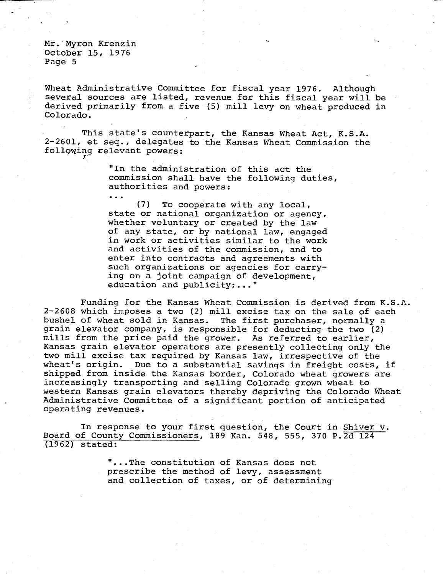• • •

Wheat Administrative Committee for fiscal year 1976. Although several sources are listed, revenue for this fiscal year will be derived primarily from a five (5) mill levy on wheat produced in Colorado.

This state's counterpart, the Kansas Wheat Act, K.S.A. 2-2601, et seq., delegates to the Kansas Wheat Commission the following relevant powers:

> "In the administration of this act the commission shall have the following duties, authorities and powers:

(7) To cooperate with any local, state or national organization or agency, whether voluntary or created by the law of any state, or by national law, engaged in work or activities similar to the work and activities of the commission, and to enter into contracts and agreements with such organizations or agencies for carrying on a joint campaign of development, education and publicity;..."

Funding for the Kansas Wheat Commission is derived from K.S.A. 2-2608 which imposes a two (2) mill excise tax on the sale of each bushel of wheat sold in Kansas. The first purchaser, normally a grain elevator company, is responsible for deducting the two (2) mills from the price paid the grower. As referred to earlier, Kansas grain elevator operators are presently collecting only the two mill excise tax required by Kansas law, irrespective of the wheat's origin. Due to a substantial savings in freight costs, if shipped from inside the Kansas border, Colorado wheat growers are increasingly transporting and selling Colorado grown wheat to western Kansas grain elevators thereby depriving the Colorado Wheat Administrative Committee of a significant portion of anticipated operating revenues.

In response to your first question, the Court in Shiver v. Board of County Commissioners, 189 Kan. 548, 555, 370 P.2d 124 (1962) stated:

> " ...The constitution of Kansas does not prescribe the method of levy, assessment and collection of taxes, or of determining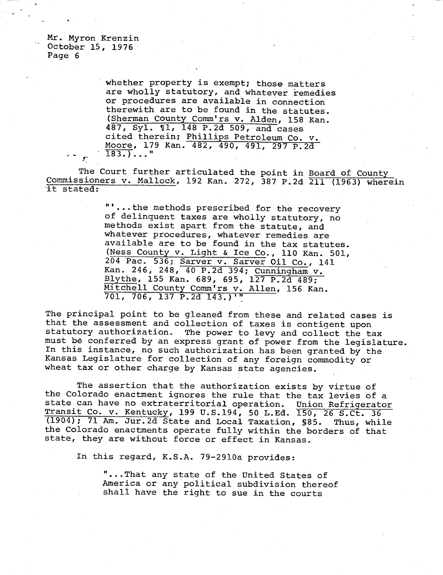whether property is exempt; those matters are wholly statutory, and whatever remedies or procedures are available in connection therewith are to be found in the statutes. (Sherman County Comm'rs v. Alden, 158 Kan. 487, Syl. ¶1, 148 P.2d 509, and cases cited therein; Phillips Petroleum Co. v. Moore, 179 Kan. 482, 490, 491, 297 P.2d 183.)..."

The Court further articulated the point in Board of County Commissioners v. Mallock, 192 Kan. 272, 387 P.2d 211 (1963) wherein it stated:

> "...the methods prescribed for the recovery of delinquent taxes are wholly statutory, no methods exist apart from the statute, and whatever procedures, whatever remedies are available are to be found in the tax statutes. (Ness County v. Light & Ice Co., 110 Kan. 501, 204 Pac. 536; Sarver v. Sarver Oil Co., 141 Kan. 246, 248, 40 P.2d 394; Cunningham v. Blythe, 155 Kan. 689, 695, 127 P.2d 489; Mitchell County Comm'rs v. Allen, 156 Kan. 701, 706, 137 P.2d 143.)'"

The principal point to be gleaned from these and related cases is that the assessment and collection of taxes is contigent upon statutory authorization. The power to levy and collect the tax must be conferred by an express grant of power from the legislature. In this instance, no such authorization has been granted by the Kansas Legislature for collection of any foreign commodity or wheat tax or other charge by Kansas state agencies.

The assertion that the authorization exists by virtue of the Colorado enactment ignores the rule that the tax levies of a state can have no extraterritorial operation. Union Refrigerator Transit Co. v. Kentucky, 199 U.S.194, 50 L.Ed. 150, 26 S.Ct. 36 (1904); 71 Am. Jur.2d State and Local Taxation, S85. Thus, while the Colorado enactments operate fully within the borders of that state, they are without force or effect in Kansas.

In this regard, K.S.A. 79-2910a provides:

"...That any state of the United States of America or any political subdivision thereof shall have the right to sue in the courts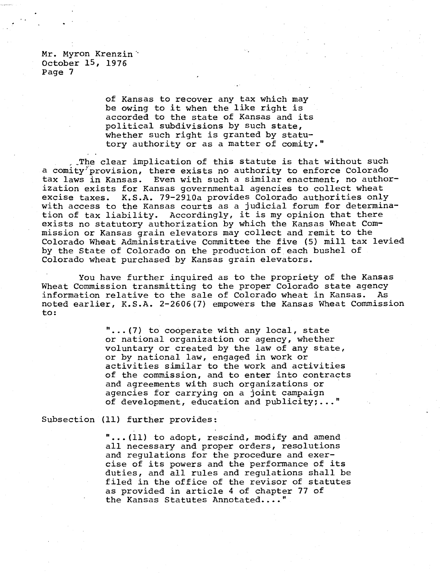> of Kansas to recover any tax which may be owing to it when the like right is accorded to the state of Kansas and its political subdivisions by such state, whether such right is granted by statutory authority or as a matter of comity."

\_The clear implication of this statute is that without such a comity provision, there exists no authority to enforce Colorado tax laws in Kansas. Even with such a similar enactment, no authorization exists for Kansas governmental agencies to collect wheat excise taxes. K.S.A. 79-2910a provides Colorado authorities only with access to the Kansas courts as a judicial forum for determination of tax liability. Accordingly, it is my opinion that there exists no statutory authorization by which the Kansas Wheat Commission or Kansas grain elevators may collect and remit to the Colorado Wheat Administrative Committee the five (5) mill tax levied by the State of Colorado on the production of each bushel of Colorado wheat purchased by Kansas grain elevators.

You have further inquired as to the propriety of the Kansas Wheat Commission transmitting to the proper Colorado state agency information relative to the sale of Colorado wheat in Kansas. As noted earlier, K.S.A. 2-2606(7) empowers the Kansas Wheat Commission to:

> " ...(7) to cooperate with any local, state or national organization or agency, whether voluntary or created by the law of any state, or by national law, engaged in work or activities similar to the work and activities of the commission, and to enter into contracts and agreements with such organizations or agencies for carrying on a joint campaign of development, education and publicity;..."

Subsection (11) further provides:

...(11) to adopt, rescind, modify and amend all necessary and proper orders, resolutions and regulations for the procedure and exercise of its powers and the performance of its duties, and all rules and regulations shall be filed in the office of the revisor of statutes as provided in article 4 of chapter 77 of the Kansas Statutes Annotated...."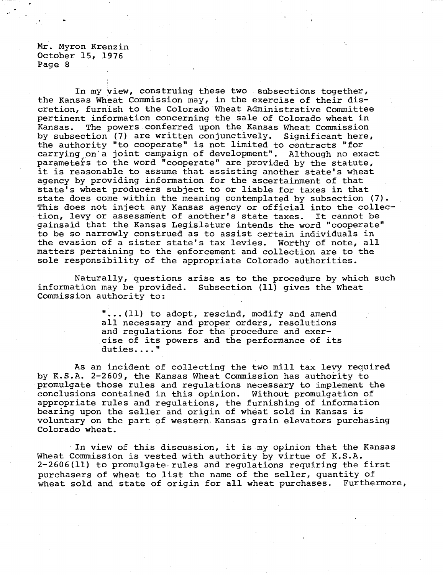In my view, construing these two subsections together, the Kansas Wheat Commission may, in the exercise of their discretion, furnish to the Colorado Wheat Administrative Committee pertinent information concerning the sale of Colorado wheat in Kansas. The powers conferred upon the Kansas Wheat Commission by subsection (7) are written conjunctively. Significant here, the authority "to cooperate" is not limited to contracts "for carrying on a joint campaign of development". Although no exact parameters to the word "cooperate" are provided by the statute, it is reasonable to assume that assisting another state's wheat agency by providing information for the ascertainment of that state's wheat producers subject to or liable for taxes in that state does come within the meaning contemplated by subsection (7). This does not inject any Kansas agency or official into the collection, levy or assessment of another's state taxes. It cannot be gainsaid that the Kansas Legislature intends the word "cooperate" to be so narrowly construed as to assist certain individuals in the evasion of a sister state's tax levies. Worthy of note, all matters pertaining to the enforcement and collection are to the sole responsibility of the appropriate Colorado authorities.

Naturally, questions arise as to the procedure by which such information may be provided. Subsection (11) gives the Wheat Commission authority to:

> ...(11) to adopt, rescind, modify and amend all necessary and proper orders, resolutions and regulations for the procedure and exercise of its powers and the performance of its duties...."

As an incident of collecting the two mill tax levy required by K.S.A. 2-2609, the Kansas Wheat Commission has authority to promulgate those rules and regulations necessary to implement the conclusions contained in this opinion. Without promulgation of appropriate rules and regulations, the furnishing of information bearing upon the seller and origin of wheat sold in Kansas is voluntary on the part of western Kansas grain elevators purchasing Colorado wheat.

In view of this discussion, it is my opinion that the Kansas Wheat Commission is vested with authority by virtue of K.S.A. 2-2606(11) to promulgate. rules and regulations requiring the first purchasers of wheat to list the name of the seller, quantity of wheat sold and state of origin for all wheat purchases. Furthermore,